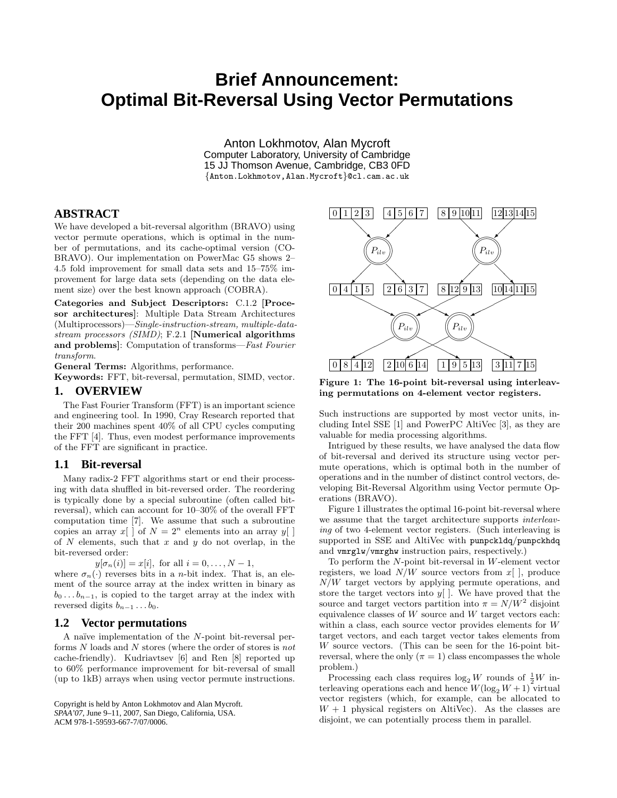# **Brief Announcement: Optimal Bit-Reversal Using Vector Permutations**

Anton Lokhmotov, Alan Mycroft Computer Laboratory, University of Cambridge 15 JJ Thomson Avenue, Cambridge, CB3 0FD {Anton.Lokhmotov,Alan.Mycroft}@cl.cam.ac.uk

## **ABSTRACT**

We have developed a bit-reversal algorithm (BRAVO) using vector permute operations, which is optimal in the number of permutations, and its cache-optimal version (CO-BRAVO). Our implementation on PowerMac G5 shows 2– 4.5 fold improvement for small data sets and 15–75% improvement for large data sets (depending on the data element size) over the best known approach (COBRA).

Categories and Subject Descriptors: C.1.2 [Procesor architectures]: Multiple Data Stream Architectures (Multiprocessors)—Single-instruction-stream, multiple-datastream processors (SIMD); F.2.1 [Numerical algorithms and problems]: Computation of transforms—Fast Fourier transform.

General Terms: Algorithms, performance. Keywords: FFT, bit-reversal, permutation, SIMD, vector.

#### **1. OVERVIEW**

The Fast Fourier Transform (FFT) is an important science and engineering tool. In 1990, Cray Research reported that their 200 machines spent 40% of all CPU cycles computing the FFT [4]. Thus, even modest performance improvements of the FFT are significant in practice.

## **1.1 Bit-reversal**

Many radix-2 FFT algorithms start or end their processing with data shuffled in bit-reversed order. The reordering is typically done by a special subroutine (often called bitreversal), which can account for 10–30% of the overall FFT computation time [7]. We assume that such a subroutine copies an array  $x[$  of  $N = 2^n$  elements into an array  $y[$  ] of  $N$  elements, such that  $x$  and  $y$  do not overlap, in the bit-reversed order:

 $y[\sigma_n(i)] = x[i]$ , for all  $i = 0, \ldots, N-1$ ,

where  $\sigma_n(\cdot)$  reverses bits in a *n*-bit index. That is, an element of the source array at the index written in binary as  $b_0 \dots b_{n-1}$ , is copied to the target array at the index with reversed digits  $b_{n-1} \ldots b_0$ .

## **1.2 Vector permutations**

A naïve implementation of the  $N$ -point bit-reversal performs N loads and N stores (where the order of stores is not cache-friendly). Kudriavtsev [6] and Ren [8] reported up to 60% performance improvement for bit-reversal of small (up to 1kB) arrays when using vector permute instructions.

```
Copyright is held by Anton Lokhmotov and Alan Mycroft.
SPAA'07, June 9–11, 2007, San Diego, California, USA.
ACM 978-1-59593-667-7/07/0006.
```


Figure 1: The 16-point bit-reversal using interleaving permutations on 4-element vector registers.

Such instructions are supported by most vector units, including Intel SSE [1] and PowerPC AltiVec [3], as they are valuable for media processing algorithms.

Intrigued by these results, we have analysed the data flow of bit-reversal and derived its structure using vector permute operations, which is optimal both in the number of operations and in the number of distinct control vectors, developing Bit-Reversal Algorithm using Vector permute Operations (BRAVO).

Figure 1 illustrates the optimal 16-point bit-reversal where we assume that the target architecture supports interleaving of two 4-element vector registers. (Such interleaving is supported in SSE and AltiVec with punpckldq/punpckhdq and vmrglw/vmrghw instruction pairs, respectively.)

To perform the N-point bit-reversal in W-element vector registers, we load  $N/W$  source vectors from  $x$ [ ], produce  $N/W$  target vectors by applying permute operations, and store the target vectors into  $y$ []. We have proved that the source and target vectors partition into  $\pi = N/W^2$  disjoint equivalence classes of  $W$  source and  $W$  target vectors each: within a class, each source vector provides elements for W target vectors, and each target vector takes elements from W source vectors. (This can be seen for the 16-point bitreversal, where the only  $(\pi = 1)$  class encompasses the whole problem.)

Processing each class requires  $\log_2 W$  rounds of  $\frac{1}{2}W$  interleaving operations each and hence  $W(\log_2 W + 1)$  virtual vector registers (which, for example, can be allocated to  $W + 1$  physical registers on AltiVec). As the classes are disjoint, we can potentially process them in parallel.